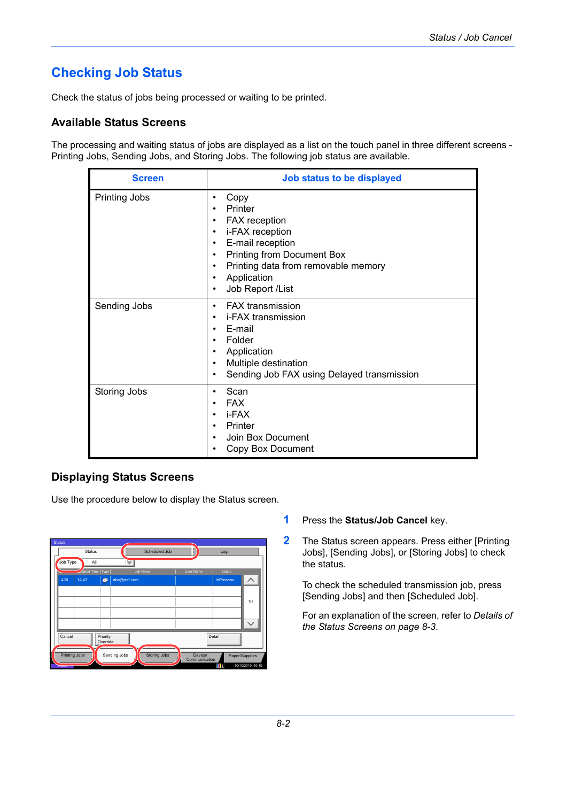# **Checking Job Status**

Check the status of jobs being processed or waiting to be printed.

#### **Available Status Screens**

The processing and waiting status of jobs are displayed as a list on the touch panel in three different screens - Printing Jobs, Sending Jobs, and Storing Jobs. The following job status are available.

| <b>Screen</b>        | Job status to be displayed                                                                                                                                                                                                                                                      |
|----------------------|---------------------------------------------------------------------------------------------------------------------------------------------------------------------------------------------------------------------------------------------------------------------------------|
| <b>Printing Jobs</b> | Copy<br>٠<br>Printer<br>FAX reception<br>$\bullet$<br>i-FAX reception<br>$\bullet$<br>E-mail reception<br>$\bullet$<br>Printing from Document Box<br>$\bullet$<br>Printing data from removable memory<br>$\bullet$<br>Application<br>$\bullet$<br>Job Report /List<br>$\bullet$ |
| Sending Jobs         | <b>FAX</b> transmission<br>٠<br>i-FAX transmission<br>٠<br>E-mail<br>$\bullet$<br>Folder<br>Application<br>Multiple destination<br>$\bullet$<br>Sending Job FAX using Delayed transmission<br>$\bullet$                                                                         |
| Storing Jobs         | Scan<br><b>FAX</b><br>i-FAX<br>$\bullet$<br>Printer<br>Join Box Document<br>Copy Box Document                                                                                                                                                                                   |

### <span id="page-0-0"></span>**Displaying Status Screens**

Use the procedure below to display the Status screen.

|                      | <b>Status</b>              |          |                      | Scheduled Job |           |         | Log              |                |
|----------------------|----------------------------|----------|----------------------|---------------|-----------|---------|------------------|----------------|
| Job Type             | All                        |          | $\blacktriangledown$ |               |           |         |                  |                |
|                      | <b>Exepted Time   Type</b> |          |                      | Job Name      | User Name |         | <b>Status</b>    |                |
| 438                  | 14:47                      | 図        | abc@def.com          |               |           |         | <b>InProcess</b> | ᄉ              |
|                      |                            |          |                      |               |           |         |                  |                |
|                      |                            |          |                      |               |           |         |                  | 1/1            |
|                      |                            |          |                      |               |           |         |                  |                |
|                      |                            |          |                      |               |           |         |                  |                |
|                      |                            |          |                      |               |           |         |                  |                |
| Cancel               |                            | Priority |                      |               |           | Detail  |                  |                |
|                      |                            | Override |                      |               |           |         |                  |                |
| <b>Printing Jobs</b> |                            |          | Sending Jobs         | Storing Jobs  |           | Device/ |                  | Paper/Supplies |

- **1** Press the **Status/Job Cancel** key.
- **2** The Status screen appears. Press either [Printing Jobs], [Sending Jobs], or [Storing Jobs] to check the status.

To check the scheduled transmission job, press [Sending Jobs] and then [Scheduled Job].

For an explanation of the screen, refer to *[Details of](#page-1-0)  [the Status Screens on page 8-3](#page-1-0)*.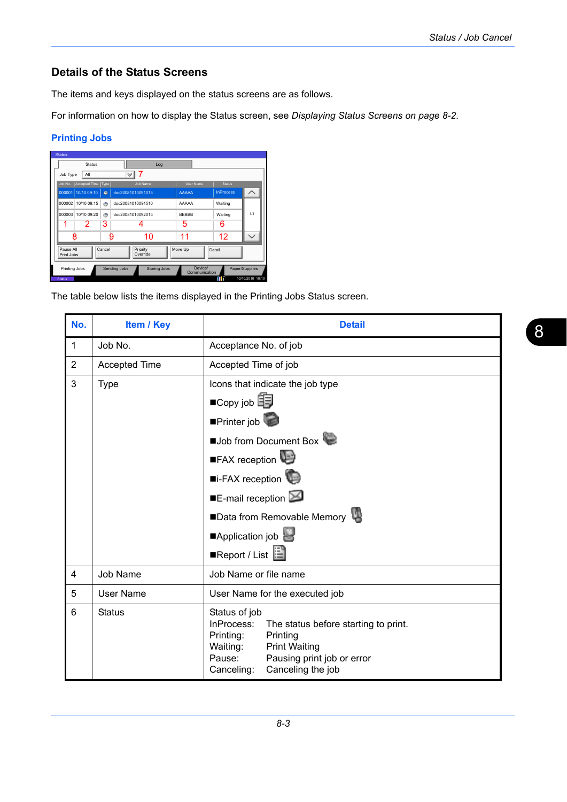# <span id="page-1-0"></span>**Details of the Status Screens**

The items and keys displayed on the status screens are as follows.

For information on how to display the Status screen, see *[Displaying Status Screens on page 8-2](#page-0-0)*.

# **Printing Jobs**

| <b>Status</b>                                                                                                                                                                                          |                      |           |   |                      |     |              |                  |     |
|--------------------------------------------------------------------------------------------------------------------------------------------------------------------------------------------------------|----------------------|-----------|---|----------------------|-----|--------------|------------------|-----|
|                                                                                                                                                                                                        | <b>Status</b>        |           |   |                      | Log |              |                  |     |
| Job Type                                                                                                                                                                                               | All                  |           |   |                      |     |              |                  |     |
| Job No.                                                                                                                                                                                                | Accepted Time   Type |           |   | Job Name             |     | User Name    | <b>Status</b>    |     |
| 000001                                                                                                                                                                                                 | 10/10 09:10          | $\bullet$ |   | doc20081010091015    |     | <b>AAAAA</b> | <b>InProcess</b> |     |
| 000002                                                                                                                                                                                                 | 10/10 09:15          | ۱         |   | doc20081010091510    |     | AAAAA        | Waiting          |     |
| 000003                                                                                                                                                                                                 | 10/10 09:20          | ۲         |   | doc20081010092015    |     | <b>BBBBB</b> | Waiting          | 1/1 |
|                                                                                                                                                                                                        | 2                    | 3         |   |                      |     | 5            | 6                |     |
|                                                                                                                                                                                                        | 8                    |           | 9 | 10                   |     | 11           | 12               |     |
|                                                                                                                                                                                                        |                      |           |   | Priority<br>Override |     |              |                  |     |
|                                                                                                                                                                                                        |                      |           |   |                      |     |              |                  |     |
| Pause All<br>Cancel<br>Detail<br>Move Up<br>Print Jobs<br>Device/<br>Printing Jobs<br>Sending Jobs<br><b>Storing Jobs</b><br>Paper/Supplies<br>Communication<br>10/10/2010 10:10<br>m<br><b>Status</b> |                      |           |   |                      |     |              |                  |     |

The table below lists the items displayed in the Printing Jobs Status screen.

| No.            | Item / Key           | <b>Detail</b>                                                                                                                                                                                               |  |  |  |
|----------------|----------------------|-------------------------------------------------------------------------------------------------------------------------------------------------------------------------------------------------------------|--|--|--|
| $\mathbf{1}$   | Job No.              | Acceptance No. of job                                                                                                                                                                                       |  |  |  |
| 2              | <b>Accepted Time</b> | Accepted Time of job                                                                                                                                                                                        |  |  |  |
| 3              | <b>Type</b>          | Icons that indicate the job type<br>$\blacksquare$ Copy job<br>Printer job                                                                                                                                  |  |  |  |
|                |                      | Job from Document Box<br>FAX reception                                                                                                                                                                      |  |  |  |
|                |                      | ■i-FAX reception                                                                                                                                                                                            |  |  |  |
|                |                      | $\blacksquare$ E-mail reception                                                                                                                                                                             |  |  |  |
|                |                      | ■Data from Removable Memory                                                                                                                                                                                 |  |  |  |
|                |                      | Application job                                                                                                                                                                                             |  |  |  |
|                |                      | ■Report / List                                                                                                                                                                                              |  |  |  |
| $\overline{4}$ | Job Name             | Job Name or file name                                                                                                                                                                                       |  |  |  |
| 5              | <b>User Name</b>     | User Name for the executed job                                                                                                                                                                              |  |  |  |
| 6              | <b>Status</b>        | Status of job<br>InProcess:<br>The status before starting to print.<br>Printing:<br>Printing<br>Waiting:<br><b>Print Waiting</b><br>Pausing print job or error<br>Pause:<br>Canceling the job<br>Canceling: |  |  |  |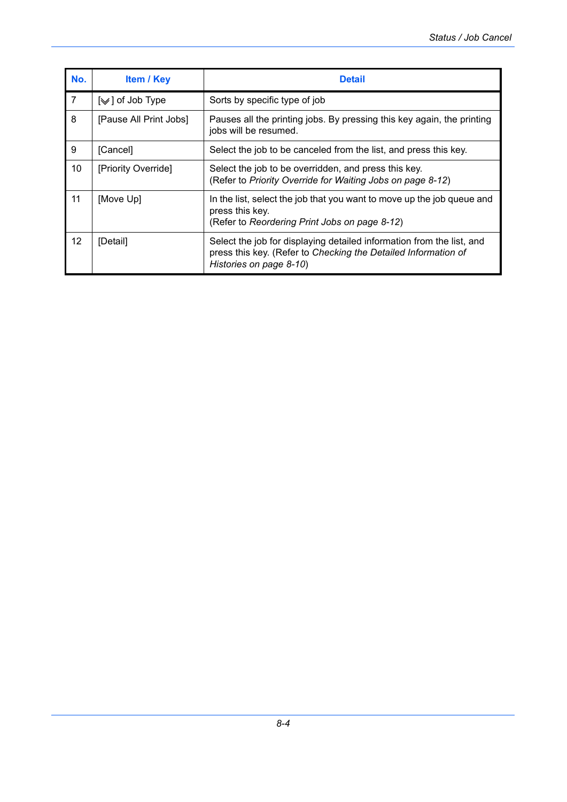| No.               | <b>Item / Key</b>                  | <b>Detail</b>                                                                                                                                                      |
|-------------------|------------------------------------|--------------------------------------------------------------------------------------------------------------------------------------------------------------------|
| $\overline{7}$    | $\lfloor \vee \rfloor$ of Job Type | Sorts by specific type of job                                                                                                                                      |
| 8                 | [Pause All Print Jobs]             | Pauses all the printing jobs. By pressing this key again, the printing<br>jobs will be resumed.                                                                    |
| 9                 | [Cancel]                           | Select the job to be canceled from the list, and press this key.                                                                                                   |
| 10                | [Priority Override]                | Select the job to be overridden, and press this key.<br>(Refer to Priority Override for Waiting Jobs on page 8-12)                                                 |
| 11                | [Move Up]                          | In the list, select the job that you want to move up the job queue and<br>press this key.<br>(Refer to Reordering Print Jobs on page 8-12)                         |
| $12 \overline{ }$ | [Detail]                           | Select the job for displaying detailed information from the list, and<br>press this key. (Refer to Checking the Detailed Information of<br>Histories on page 8-10) |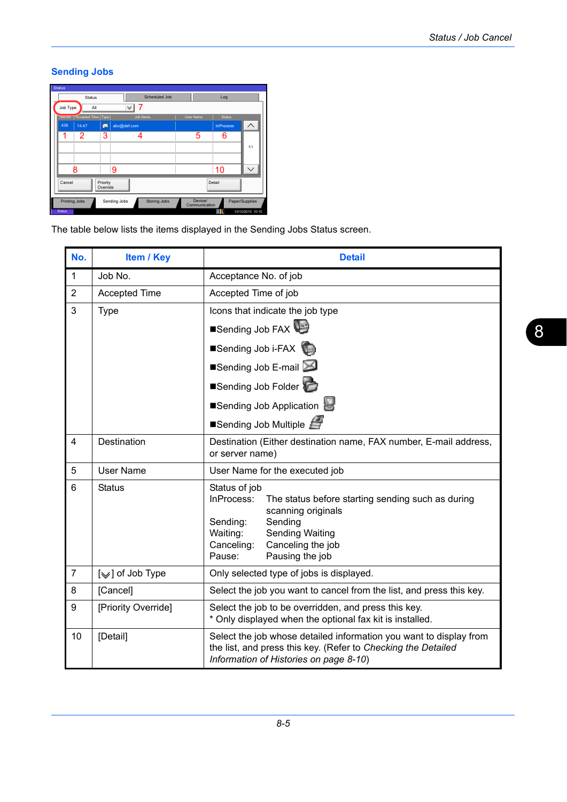## **Sending Jobs**

| <b>Status</b> |                      |                                |                      |                                     |                          |                  |                  |
|---------------|----------------------|--------------------------------|----------------------|-------------------------------------|--------------------------|------------------|------------------|
|               |                      | <b>Status</b>                  |                      | Scheduled Job                       |                          | Log              |                  |
|               | Job Type             | All                            |                      | ∀                                   |                          |                  |                  |
|               |                      | Job No.   Accepted Time   Type |                      | Job Name                            | User Name                | <b>Status</b>    |                  |
|               | 438                  | 14:47                          | Ø                    | abc@def.com                         |                          | <b>InProcess</b> |                  |
|               | 1                    | 2                              | 3                    |                                     | 5                        | 6                |                  |
|               |                      |                                |                      |                                     |                          |                  | 1/1              |
|               |                      |                                |                      |                                     |                          |                  |                  |
|               |                      | 8                              |                      | 9                                   |                          | 10               |                  |
|               | Cancel               |                                | Priority<br>Override |                                     |                          | Detail           |                  |
|               | <b>Printing Jobs</b> |                                |                      | Sending Jobs<br><b>Storing Jobs</b> | Device/<br>Communication |                  | Paper/Supplies   |
|               | <b>Status</b>        |                                |                      |                                     |                          | m                | 10/10/2010 10:10 |

The table below lists the items displayed in the Sending Jobs Status screen.

| No.            | Item / Key           | <b>Detail</b>                                                                                                                                                                                                                       |  |  |
|----------------|----------------------|-------------------------------------------------------------------------------------------------------------------------------------------------------------------------------------------------------------------------------------|--|--|
| $\mathbf{1}$   | Job No.              | Acceptance No. of job                                                                                                                                                                                                               |  |  |
| $\overline{2}$ | <b>Accepted Time</b> | Accepted Time of job                                                                                                                                                                                                                |  |  |
| 3              | <b>Type</b>          | Icons that indicate the job type                                                                                                                                                                                                    |  |  |
|                |                      | Sending Job FAX                                                                                                                                                                                                                     |  |  |
|                |                      | Sending Job i-FAX                                                                                                                                                                                                                   |  |  |
|                |                      | ■Sending Job E-mail                                                                                                                                                                                                                 |  |  |
|                |                      | Sending Job Folder                                                                                                                                                                                                                  |  |  |
|                |                      | Sending Job Application                                                                                                                                                                                                             |  |  |
|                |                      | ■Sending Job Multiple                                                                                                                                                                                                               |  |  |
| 4              | Destination          | Destination (Either destination name, FAX number, E-mail address,<br>or server name)                                                                                                                                                |  |  |
| 5              | <b>User Name</b>     | User Name for the executed job                                                                                                                                                                                                      |  |  |
| 6              | <b>Status</b>        | Status of job<br>InProcess:<br>The status before starting sending such as during<br>scanning originals<br>Sending<br>Sending:<br>Waiting:<br><b>Sending Waiting</b><br>Canceling:<br>Canceling the job<br>Pausing the job<br>Pause: |  |  |
| $\overline{7}$ | [∀] of Job Type      | Only selected type of jobs is displayed.                                                                                                                                                                                            |  |  |
| 8              | [Cancel]             | Select the job you want to cancel from the list, and press this key.                                                                                                                                                                |  |  |
| 9              | [Priority Override]  | Select the job to be overridden, and press this key.<br>* Only displayed when the optional fax kit is installed.                                                                                                                    |  |  |
| 10             | [Detail]             | Select the job whose detailed information you want to display from<br>the list, and press this key. (Refer to Checking the Detailed<br>Information of Histories on page 8-10)                                                       |  |  |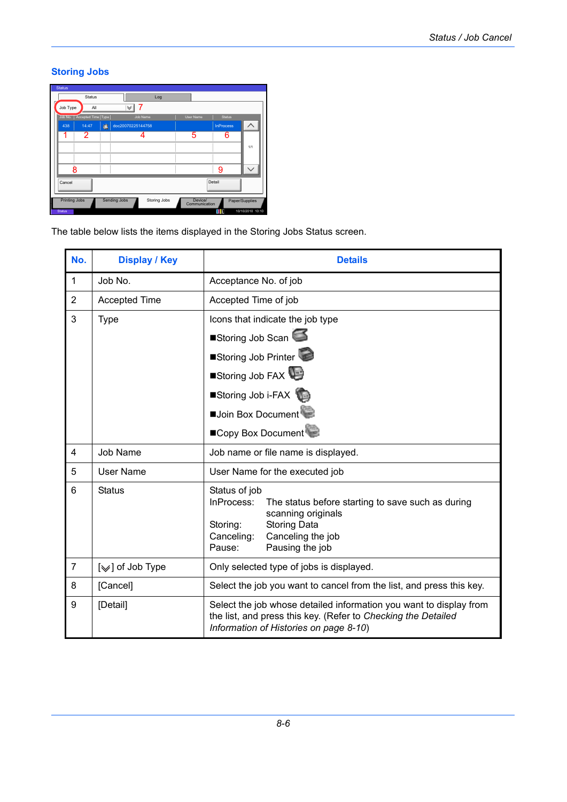## **Storing Jobs**

| <b>Status</b>        |                      |   |                     |              |           |                          |                  |                  |
|----------------------|----------------------|---|---------------------|--------------|-----------|--------------------------|------------------|------------------|
|                      | <b>Status</b>        |   |                     | Log          |           |                          |                  |                  |
| Job Type             | All                  |   | 7<br>∀              |              |           |                          |                  |                  |
| Job No.              | Accepted Time   Type |   | Job Name            |              | User Name |                          | <b>Status</b>    |                  |
| 438                  | 14:47                | G | doc20070225144758   |              |           |                          | <b>InProcess</b> |                  |
| 1                    | 2                    |   |                     |              | 5         |                          | 6                |                  |
|                      |                      |   |                     |              |           |                          |                  | 1/1              |
|                      |                      |   |                     |              |           |                          |                  |                  |
|                      | 8                    |   |                     |              |           |                          | 9                |                  |
| Cancel               |                      |   |                     |              |           | Detail                   |                  |                  |
| <b>Printing Jobs</b> |                      |   | <b>Sending Jobs</b> | Storing Jobs |           | Device/<br>Communication |                  | Paper/Supplies   |
| <b>Status</b>        |                      |   |                     |              |           |                          | m                | 10/10/2010 10:10 |

The table below lists the items displayed in the Storing Jobs Status screen.

| No.            | <b>Display / Key</b>          | <b>Details</b>                                                                                                                                                                                            |  |  |  |
|----------------|-------------------------------|-----------------------------------------------------------------------------------------------------------------------------------------------------------------------------------------------------------|--|--|--|
| $\mathbf{1}$   | Job No.                       | Acceptance No. of job                                                                                                                                                                                     |  |  |  |
| $\overline{2}$ | <b>Accepted Time</b>          | Accepted Time of job                                                                                                                                                                                      |  |  |  |
| 3              | <b>Type</b>                   | Icons that indicate the job type                                                                                                                                                                          |  |  |  |
|                |                               | Storing Job Scan                                                                                                                                                                                          |  |  |  |
|                |                               | Storing Job Printer                                                                                                                                                                                       |  |  |  |
|                |                               | Storing Job FAX                                                                                                                                                                                           |  |  |  |
|                |                               | Storing Job i-FAX                                                                                                                                                                                         |  |  |  |
|                |                               | Join Box Document                                                                                                                                                                                         |  |  |  |
|                |                               | ■Copy Box Document                                                                                                                                                                                        |  |  |  |
| 4              | Job Name                      | Job name or file name is displayed.                                                                                                                                                                       |  |  |  |
| 5              | User Name                     | User Name for the executed job                                                                                                                                                                            |  |  |  |
| 6              | <b>Status</b>                 | Status of job<br>InProcess:<br>The status before starting to save such as during<br>scanning originals<br><b>Storing Data</b><br>Storing:<br>Canceling the job<br>Canceling:<br>Pause:<br>Pausing the job |  |  |  |
| $\overline{7}$ | [ $\textdegree$ ] of Job Type | Only selected type of jobs is displayed.                                                                                                                                                                  |  |  |  |
| 8              | [Cancel]                      | Select the job you want to cancel from the list, and press this key.                                                                                                                                      |  |  |  |
| 9              | [Detail]                      | Select the job whose detailed information you want to display from<br>the list, and press this key. (Refer to Checking the Detailed<br>Information of Histories on page 8-10)                             |  |  |  |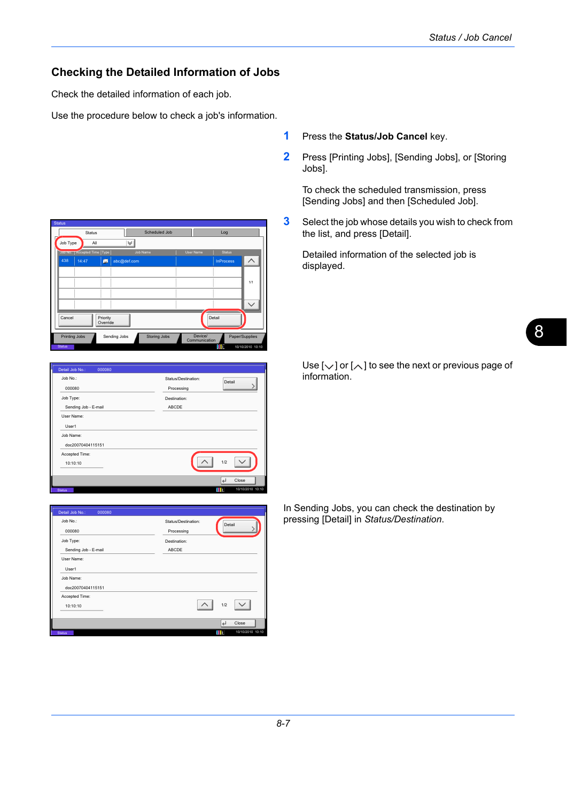#### **Checking the Detailed Information of Jobs**

Check the detailed information of each job.

Use the procedure below to check a job's information.

**Status** Scheduled Job Status Log Job Type  $\vert \mathbb{V} \vert$ Job No. | Accepted Time | Type | Job Name | User Name Status  $\overline{\phantom{0}}$ 438 14:47 abc@def.com InProcess 1/1  $\overline{\phantom{0}}$ Cancel Priority Override Detail Printing Jobs Sending Jobs Storing Jobs Device/ Paper/Supplies

Status 10/10/2010 10:10

| Job No.:             | Status/Destination: | Detail                  |
|----------------------|---------------------|-------------------------|
| 000080               | Processing          |                         |
| Job Type:            | Destination:        |                         |
| Sending Job - E-mail | <b>ABCDE</b>        |                         |
| User Name:           |                     |                         |
| User1                |                     |                         |
| Job Name:            |                     |                         |
| doc20070404115151    |                     |                         |
| Accepted Time:       |                     |                         |
| 10:10:10             |                     | 1/2                     |
|                      |                     |                         |
|                      |                     | $\overline{ }$<br>Close |

| Detail Job No.:<br>000080 |                     |                |                  |
|---------------------------|---------------------|----------------|------------------|
| Job No.:                  | Status/Destination: | Detail         |                  |
| 000080                    | Processing          |                |                  |
| Job Type:                 | Destination:        |                |                  |
| Sending Job - E-mail      | <b>ABCDE</b>        |                |                  |
| User Name:                |                     |                |                  |
| User1                     |                     |                |                  |
| Job Name:                 |                     |                |                  |
| doc20070404115151         |                     |                |                  |
| Accepted Time:            |                     |                |                  |
| 10:10:10                  |                     | 1/2            |                  |
|                           |                     |                |                  |
|                           |                     | $\overline{a}$ | Close            |
| <b>Status</b>             |                     | m              | 10/10/2010 10:10 |

- **1** Press the **Status/Job Cancel** key.
- **2** Press [Printing Jobs], [Sending Jobs], or [Storing Jobs].

To check the scheduled transmission, press [Sending Jobs] and then [Scheduled Job].

**3** Select the job whose details you wish to check from the list, and press [Detail].

Detailed information of the selected job is displayed.

Use  $[\vee]$  or  $[\wedge]$  to see the next or previous page of information.

In Sending Jobs, you can check the destination by pressing [Detail] in *Status/Destination*.